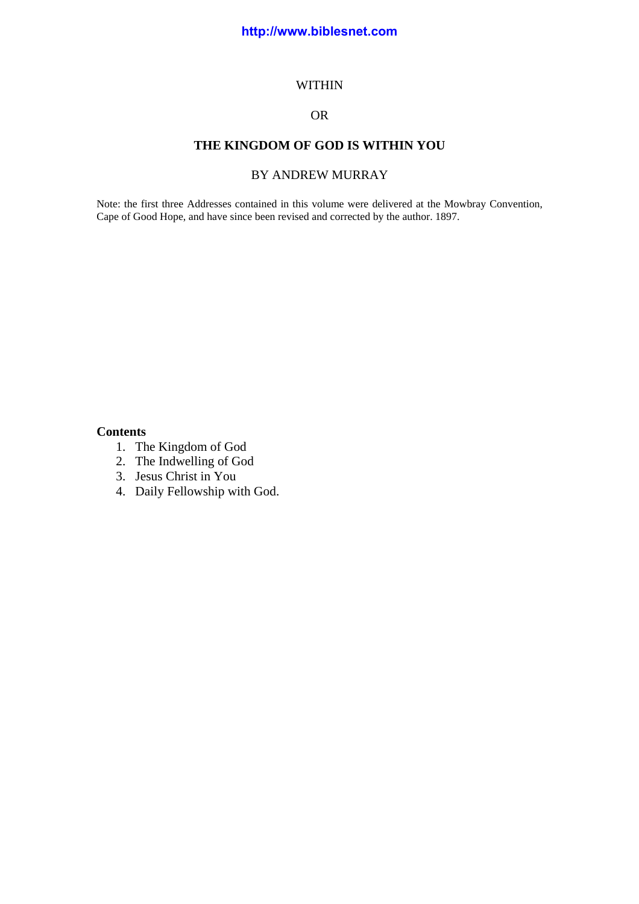#### WITHIN

# OR

## **THE KINGDOM OF GOD IS WITHIN YOU**

# BY ANDREW MURRAY

Note: the first three Addresses contained in this volume were delivered at the Mowbray Convention, Cape of Good Hope, and have since been revised and corrected by the author. 1897.

## **Contents**

- 1. The Kingdom of God
- 2. The Indwelling of God
- 3. Jesus Christ in You
- 4. Daily Fellowship with God.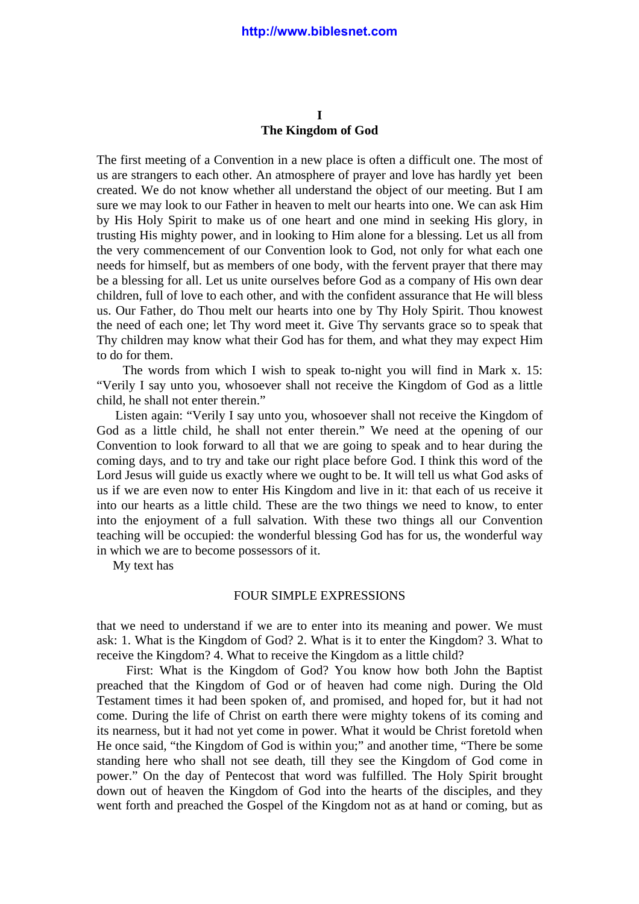## **I The Kingdom of God**

The first meeting of a Convention in a new place is often a difficult one. The most of us are strangers to each other. An atmosphere of prayer and love has hardly yet been created. We do not know whether all understand the object of our meeting. But I am sure we may look to our Father in heaven to melt our hearts into one. We can ask Him by His Holy Spirit to make us of one heart and one mind in seeking His glory, in trusting His mighty power, and in looking to Him alone for a blessing. Let us all from the very commencement of our Convention look to God, not only for what each one needs for himself, but as members of one body, with the fervent prayer that there may be a blessing for all. Let us unite ourselves before God as a company of His own dear children, full of love to each other, and with the confident assurance that He will bless us. Our Father, do Thou melt our hearts into one by Thy Holy Spirit. Thou knowest the need of each one; let Thy word meet it. Give Thy servants grace so to speak that Thy children may know what their God has for them, and what they may expect Him to do for them.

 The words from which I wish to speak to-night you will find in Mark x. 15: "Verily I say unto you, whosoever shall not receive the Kingdom of God as a little child, he shall not enter therein."

 Listen again: "Verily I say unto you, whosoever shall not receive the Kingdom of God as a little child, he shall not enter therein." We need at the opening of our Convention to look forward to all that we are going to speak and to hear during the coming days, and to try and take our right place before God. I think this word of the Lord Jesus will guide us exactly where we ought to be. It will tell us what God asks of us if we are even now to enter His Kingdom and live in it: that each of us receive it into our hearts as a little child. These are the two things we need to know, to enter into the enjoyment of a full salvation. With these two things all our Convention teaching will be occupied: the wonderful blessing God has for us, the wonderful way in which we are to become possessors of it.

My text has

### FOUR SIMPLE EXPRESSIONS

that we need to understand if we are to enter into its meaning and power. We must ask: 1. What is the Kingdom of God? 2. What is it to enter the Kingdom? 3. What to receive the Kingdom? 4. What to receive the Kingdom as a little child?

 First: What is the Kingdom of God? You know how both John the Baptist preached that the Kingdom of God or of heaven had come nigh. During the Old Testament times it had been spoken of, and promised, and hoped for, but it had not come. During the life of Christ on earth there were mighty tokens of its coming and its nearness, but it had not yet come in power. What it would be Christ foretold when He once said, "the Kingdom of God is within you;" and another time, "There be some standing here who shall not see death, till they see the Kingdom of God come in power." On the day of Pentecost that word was fulfilled. The Holy Spirit brought down out of heaven the Kingdom of God into the hearts of the disciples, and they went forth and preached the Gospel of the Kingdom not as at hand or coming, but as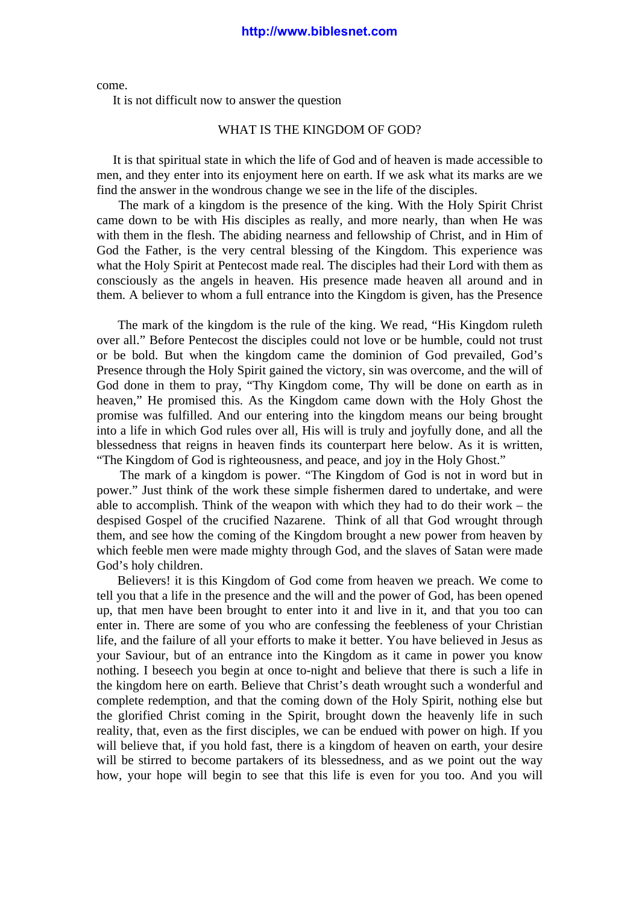come.

It is not difficult now to answer the question

#### WHAT IS THE KINGDOM OF GOD?

 It is that spiritual state in which the life of God and of heaven is made accessible to men, and they enter into its enjoyment here on earth. If we ask what its marks are we find the answer in the wondrous change we see in the life of the disciples.

 The mark of a kingdom is the presence of the king. With the Holy Spirit Christ came down to be with His disciples as really, and more nearly, than when He was with them in the flesh. The abiding nearness and fellowship of Christ, and in Him of God the Father, is the very central blessing of the Kingdom. This experience was what the Holy Spirit at Pentecost made real. The disciples had their Lord with them as consciously as the angels in heaven. His presence made heaven all around and in them. A believer to whom a full entrance into the Kingdom is given, has the Presence

 The mark of the kingdom is the rule of the king. We read, "His Kingdom ruleth over all." Before Pentecost the disciples could not love or be humble, could not trust or be bold. But when the kingdom came the dominion of God prevailed, God's Presence through the Holy Spirit gained the victory, sin was overcome, and the will of God done in them to pray, "Thy Kingdom come, Thy will be done on earth as in heaven," He promised this. As the Kingdom came down with the Holy Ghost the promise was fulfilled. And our entering into the kingdom means our being brought into a life in which God rules over all, His will is truly and joyfully done, and all the blessedness that reigns in heaven finds its counterpart here below. As it is written, "The Kingdom of God is righteousness, and peace, and joy in the Holy Ghost."

 The mark of a kingdom is power. "The Kingdom of God is not in word but in power." Just think of the work these simple fishermen dared to undertake, and were able to accomplish. Think of the weapon with which they had to do their work – the despised Gospel of the crucified Nazarene. Think of all that God wrought through them, and see how the coming of the Kingdom brought a new power from heaven by which feeble men were made mighty through God, and the slaves of Satan were made God's holy children.

 Believers! it is this Kingdom of God come from heaven we preach. We come to tell you that a life in the presence and the will and the power of God, has been opened up, that men have been brought to enter into it and live in it, and that you too can enter in. There are some of you who are confessing the feebleness of your Christian life, and the failure of all your efforts to make it better. You have believed in Jesus as your Saviour, but of an entrance into the Kingdom as it came in power you know nothing. I beseech you begin at once to-night and believe that there is such a life in the kingdom here on earth. Believe that Christ's death wrought such a wonderful and complete redemption, and that the coming down of the Holy Spirit, nothing else but the glorified Christ coming in the Spirit, brought down the heavenly life in such reality, that, even as the first disciples, we can be endued with power on high. If you will believe that, if you hold fast, there is a kingdom of heaven on earth, your desire will be stirred to become partakers of its blessedness, and as we point out the way how, your hope will begin to see that this life is even for you too. And you will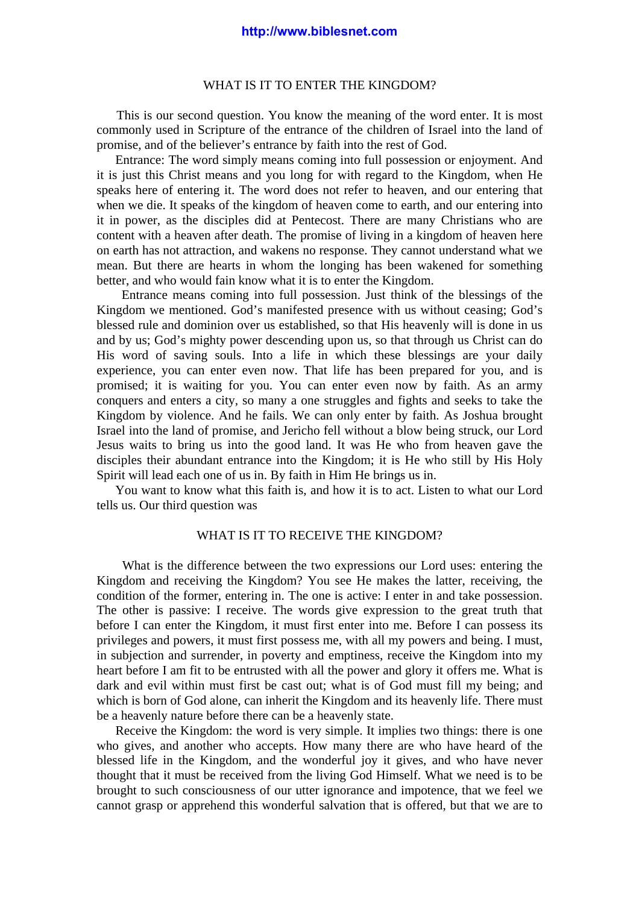#### WHAT IS IT TO ENTER THE KINGDOM?

 This is our second question. You know the meaning of the word enter. It is most commonly used in Scripture of the entrance of the children of Israel into the land of promise, and of the believer's entrance by faith into the rest of God.

 Entrance: The word simply means coming into full possession or enjoyment. And it is just this Christ means and you long for with regard to the Kingdom, when He speaks here of entering it. The word does not refer to heaven, and our entering that when we die. It speaks of the kingdom of heaven come to earth, and our entering into it in power, as the disciples did at Pentecost. There are many Christians who are content with a heaven after death. The promise of living in a kingdom of heaven here on earth has not attraction, and wakens no response. They cannot understand what we mean. But there are hearts in whom the longing has been wakened for something better, and who would fain know what it is to enter the Kingdom.

 Entrance means coming into full possession. Just think of the blessings of the Kingdom we mentioned. God's manifested presence with us without ceasing; God's blessed rule and dominion over us established, so that His heavenly will is done in us and by us; God's mighty power descending upon us, so that through us Christ can do His word of saving souls. Into a life in which these blessings are your daily experience, you can enter even now. That life has been prepared for you, and is promised; it is waiting for you. You can enter even now by faith. As an army conquers and enters a city, so many a one struggles and fights and seeks to take the Kingdom by violence. And he fails. We can only enter by faith. As Joshua brought Israel into the land of promise, and Jericho fell without a blow being struck, our Lord Jesus waits to bring us into the good land. It was He who from heaven gave the disciples their abundant entrance into the Kingdom; it is He who still by His Holy Spirit will lead each one of us in. By faith in Him He brings us in.

 You want to know what this faith is, and how it is to act. Listen to what our Lord tells us. Our third question was

## WHAT IS IT TO RECEIVE THE KINGDOM?

 What is the difference between the two expressions our Lord uses: entering the Kingdom and receiving the Kingdom? You see He makes the latter, receiving, the condition of the former, entering in. The one is active: I enter in and take possession. The other is passive: I receive. The words give expression to the great truth that before I can enter the Kingdom, it must first enter into me. Before I can possess its privileges and powers, it must first possess me, with all my powers and being. I must, in subjection and surrender, in poverty and emptiness, receive the Kingdom into my heart before I am fit to be entrusted with all the power and glory it offers me. What is dark and evil within must first be cast out; what is of God must fill my being; and which is born of God alone, can inherit the Kingdom and its heavenly life. There must be a heavenly nature before there can be a heavenly state.

 Receive the Kingdom: the word is very simple. It implies two things: there is one who gives, and another who accepts. How many there are who have heard of the blessed life in the Kingdom, and the wonderful joy it gives, and who have never thought that it must be received from the living God Himself. What we need is to be brought to such consciousness of our utter ignorance and impotence, that we feel we cannot grasp or apprehend this wonderful salvation that is offered, but that we are to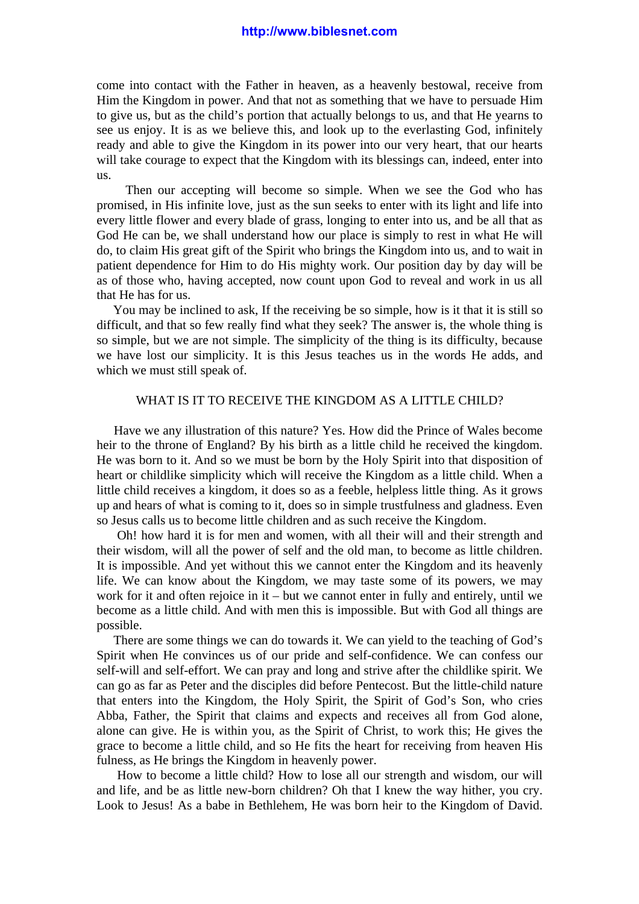come into contact with the Father in heaven, as a heavenly bestowal, receive from Him the Kingdom in power. And that not as something that we have to persuade Him to give us, but as the child's portion that actually belongs to us, and that He yearns to see us enjoy. It is as we believe this, and look up to the everlasting God, infinitely ready and able to give the Kingdom in its power into our very heart, that our hearts will take courage to expect that the Kingdom with its blessings can, indeed, enter into us.

 Then our accepting will become so simple. When we see the God who has promised, in His infinite love, just as the sun seeks to enter with its light and life into every little flower and every blade of grass, longing to enter into us, and be all that as God He can be, we shall understand how our place is simply to rest in what He will do, to claim His great gift of the Spirit who brings the Kingdom into us, and to wait in patient dependence for Him to do His mighty work. Our position day by day will be as of those who, having accepted, now count upon God to reveal and work in us all that He has for us.

 You may be inclined to ask, If the receiving be so simple, how is it that it is still so difficult, and that so few really find what they seek? The answer is, the whole thing is so simple, but we are not simple. The simplicity of the thing is its difficulty, because we have lost our simplicity. It is this Jesus teaches us in the words He adds, and which we must still speak of.

#### WHAT IS IT TO RECEIVE THE KINGDOM AS A LITTLE CHILD?

 Have we any illustration of this nature? Yes. How did the Prince of Wales become heir to the throne of England? By his birth as a little child he received the kingdom. He was born to it. And so we must be born by the Holy Spirit into that disposition of heart or childlike simplicity which will receive the Kingdom as a little child. When a little child receives a kingdom, it does so as a feeble, helpless little thing. As it grows up and hears of what is coming to it, does so in simple trustfulness and gladness. Even so Jesus calls us to become little children and as such receive the Kingdom.

 Oh! how hard it is for men and women, with all their will and their strength and their wisdom, will all the power of self and the old man, to become as little children. It is impossible. And yet without this we cannot enter the Kingdom and its heavenly life. We can know about the Kingdom, we may taste some of its powers, we may work for it and often rejoice in it – but we cannot enter in fully and entirely, until we become as a little child. And with men this is impossible. But with God all things are possible.

 There are some things we can do towards it. We can yield to the teaching of God's Spirit when He convinces us of our pride and self-confidence. We can confess our self-will and self-effort. We can pray and long and strive after the childlike spirit. We can go as far as Peter and the disciples did before Pentecost. But the little-child nature that enters into the Kingdom, the Holy Spirit, the Spirit of God's Son, who cries Abba, Father, the Spirit that claims and expects and receives all from God alone, alone can give. He is within you, as the Spirit of Christ, to work this; He gives the grace to become a little child, and so He fits the heart for receiving from heaven His fulness, as He brings the Kingdom in heavenly power.

 How to become a little child? How to lose all our strength and wisdom, our will and life, and be as little new-born children? Oh that I knew the way hither, you cry. Look to Jesus! As a babe in Bethlehem, He was born heir to the Kingdom of David.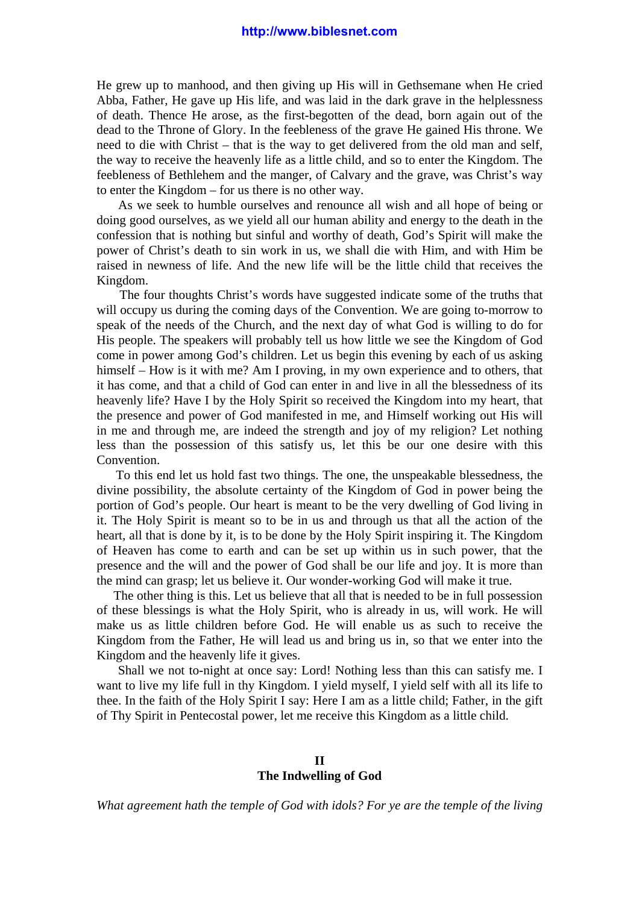He grew up to manhood, and then giving up His will in Gethsemane when He cried Abba, Father, He gave up His life, and was laid in the dark grave in the helplessness of death. Thence He arose, as the first-begotten of the dead, born again out of the dead to the Throne of Glory. In the feebleness of the grave He gained His throne. We need to die with Christ – that is the way to get delivered from the old man and self, the way to receive the heavenly life as a little child, and so to enter the Kingdom. The feebleness of Bethlehem and the manger, of Calvary and the grave, was Christ's way to enter the Kingdom – for us there is no other way.

 As we seek to humble ourselves and renounce all wish and all hope of being or doing good ourselves, as we yield all our human ability and energy to the death in the confession that is nothing but sinful and worthy of death, God's Spirit will make the power of Christ's death to sin work in us, we shall die with Him, and with Him be raised in newness of life. And the new life will be the little child that receives the Kingdom.

 The four thoughts Christ's words have suggested indicate some of the truths that will occupy us during the coming days of the Convention. We are going to-morrow to speak of the needs of the Church, and the next day of what God is willing to do for His people. The speakers will probably tell us how little we see the Kingdom of God come in power among God's children. Let us begin this evening by each of us asking himself – How is it with me? Am I proving, in my own experience and to others, that it has come, and that a child of God can enter in and live in all the blessedness of its heavenly life? Have I by the Holy Spirit so received the Kingdom into my heart, that the presence and power of God manifested in me, and Himself working out His will in me and through me, are indeed the strength and joy of my religion? Let nothing less than the possession of this satisfy us, let this be our one desire with this Convention.

 To this end let us hold fast two things. The one, the unspeakable blessedness, the divine possibility, the absolute certainty of the Kingdom of God in power being the portion of God's people. Our heart is meant to be the very dwelling of God living in it. The Holy Spirit is meant so to be in us and through us that all the action of the heart, all that is done by it, is to be done by the Holy Spirit inspiring it. The Kingdom of Heaven has come to earth and can be set up within us in such power, that the presence and the will and the power of God shall be our life and joy. It is more than the mind can grasp; let us believe it. Our wonder-working God will make it true.

 The other thing is this. Let us believe that all that is needed to be in full possession of these blessings is what the Holy Spirit, who is already in us, will work. He will make us as little children before God. He will enable us as such to receive the Kingdom from the Father, He will lead us and bring us in, so that we enter into the Kingdom and the heavenly life it gives.

 Shall we not to-night at once say: Lord! Nothing less than this can satisfy me. I want to live my life full in thy Kingdom. I yield myself, I yield self with all its life to thee. In the faith of the Holy Spirit I say: Here I am as a little child; Father, in the gift of Thy Spirit in Pentecostal power, let me receive this Kingdom as a little child.

## **II The Indwelling of God**

*What agreement hath the temple of God with idols? For ye are the temple of the living*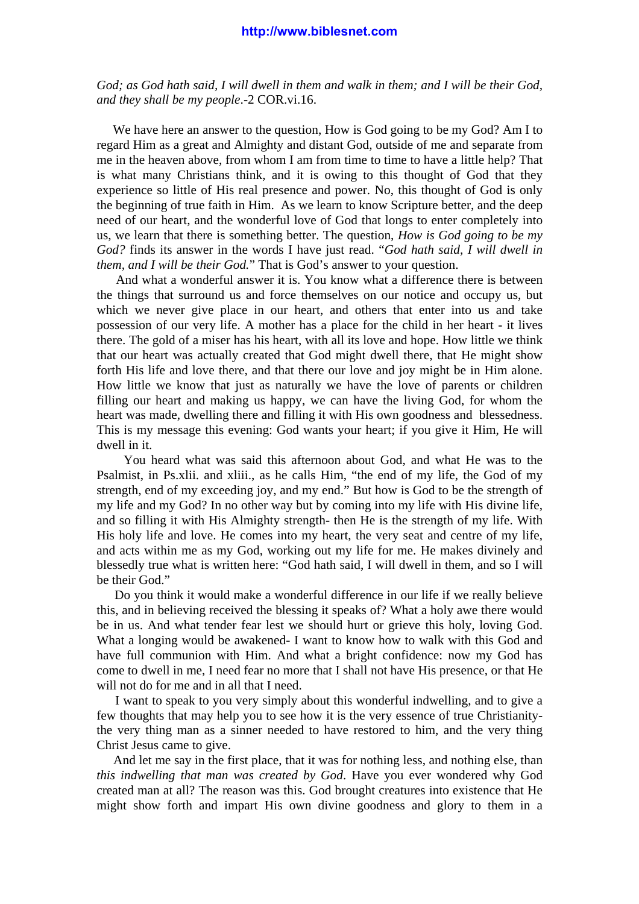*God; as God hath said, I will dwell in them and walk in them; and I will be their God, and they shall be my people*.-2 COR.vi.16.

 We have here an answer to the question, How is God going to be my God? Am I to regard Him as a great and Almighty and distant God, outside of me and separate from me in the heaven above, from whom I am from time to time to have a little help? That is what many Christians think, and it is owing to this thought of God that they experience so little of His real presence and power. No, this thought of God is only the beginning of true faith in Him. As we learn to know Scripture better, and the deep need of our heart, and the wonderful love of God that longs to enter completely into us, we learn that there is something better. The question, *How is God going to be my God?* finds its answer in the words I have just read. "*God hath said, I will dwell in them, and I will be their God.*" That is God's answer to your question.

 And what a wonderful answer it is. You know what a difference there is between the things that surround us and force themselves on our notice and occupy us, but which we never give place in our heart, and others that enter into us and take possession of our very life. A mother has a place for the child in her heart - it lives there. The gold of a miser has his heart, with all its love and hope. How little we think that our heart was actually created that God might dwell there, that He might show forth His life and love there, and that there our love and joy might be in Him alone. How little we know that just as naturally we have the love of parents or children filling our heart and making us happy, we can have the living God, for whom the heart was made, dwelling there and filling it with His own goodness and blessedness. This is my message this evening: God wants your heart; if you give it Him, He will dwell in it.

 You heard what was said this afternoon about God, and what He was to the Psalmist, in Ps.xlii. and xliii., as he calls Him, "the end of my life, the God of my strength, end of my exceeding joy, and my end." But how is God to be the strength of my life and my God? In no other way but by coming into my life with His divine life, and so filling it with His Almighty strength- then He is the strength of my life. With His holy life and love. He comes into my heart, the very seat and centre of my life, and acts within me as my God, working out my life for me. He makes divinely and blessedly true what is written here: "God hath said, I will dwell in them, and so I will be their God."

 Do you think it would make a wonderful difference in our life if we really believe this, and in believing received the blessing it speaks of? What a holy awe there would be in us. And what tender fear lest we should hurt or grieve this holy, loving God. What a longing would be awakened- I want to know how to walk with this God and have full communion with Him. And what a bright confidence: now my God has come to dwell in me, I need fear no more that I shall not have His presence, or that He will not do for me and in all that I need.

 I want to speak to you very simply about this wonderful indwelling, and to give a few thoughts that may help you to see how it is the very essence of true Christianitythe very thing man as a sinner needed to have restored to him, and the very thing Christ Jesus came to give.

 And let me say in the first place, that it was for nothing less, and nothing else, than *this indwelling that man was created by God*. Have you ever wondered why God created man at all? The reason was this. God brought creatures into existence that He might show forth and impart His own divine goodness and glory to them in a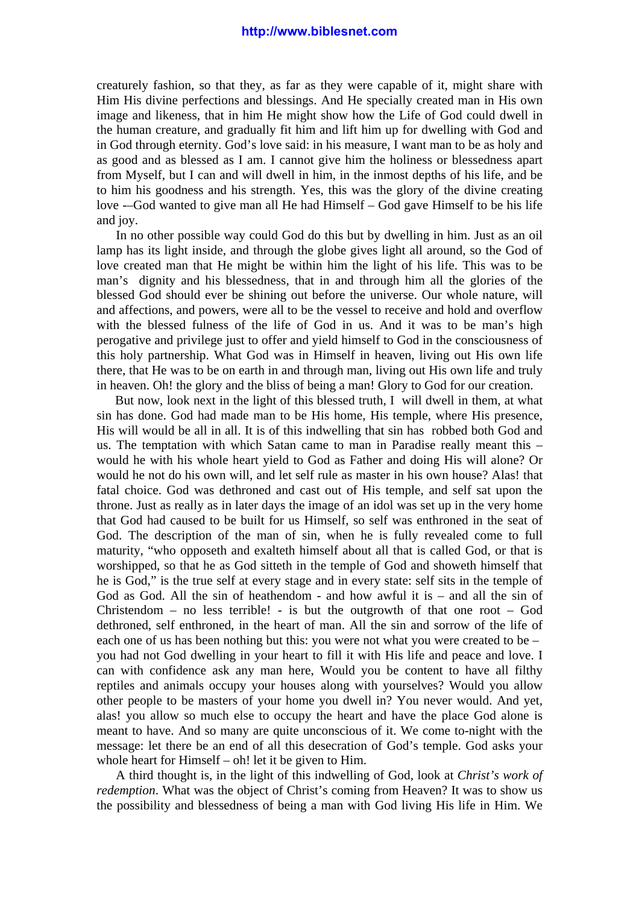creaturely fashion, so that they, as far as they were capable of it, might share with Him His divine perfections and blessings. And He specially created man in His own image and likeness, that in him He might show how the Life of God could dwell in the human creature, and gradually fit him and lift him up for dwelling with God and in God through eternity. God's love said: in his measure, I want man to be as holy and as good and as blessed as I am. I cannot give him the holiness or blessedness apart from Myself, but I can and will dwell in him, in the inmost depths of his life, and be to him his goodness and his strength. Yes, this was the glory of the divine creating love -–God wanted to give man all He had Himself – God gave Himself to be his life and joy.

 In no other possible way could God do this but by dwelling in him. Just as an oil lamp has its light inside, and through the globe gives light all around, so the God of love created man that He might be within him the light of his life. This was to be man's dignity and his blessedness, that in and through him all the glories of the blessed God should ever be shining out before the universe. Our whole nature, will and affections, and powers, were all to be the vessel to receive and hold and overflow with the blessed fulness of the life of God in us. And it was to be man's high perogative and privilege just to offer and yield himself to God in the consciousness of this holy partnership. What God was in Himself in heaven, living out His own life there, that He was to be on earth in and through man, living out His own life and truly in heaven. Oh! the glory and the bliss of being a man! Glory to God for our creation.

 But now, look next in the light of this blessed truth, I will dwell in them, at what sin has done. God had made man to be His home, His temple, where His presence, His will would be all in all. It is of this indwelling that sin has robbed both God and us. The temptation with which Satan came to man in Paradise really meant this – would he with his whole heart yield to God as Father and doing His will alone? Or would he not do his own will, and let self rule as master in his own house? Alas! that fatal choice. God was dethroned and cast out of His temple, and self sat upon the throne. Just as really as in later days the image of an idol was set up in the very home that God had caused to be built for us Himself, so self was enthroned in the seat of God. The description of the man of sin, when he is fully revealed come to full maturity, "who opposeth and exalteth himself about all that is called God, or that is worshipped, so that he as God sitteth in the temple of God and showeth himself that he is God," is the true self at every stage and in every state: self sits in the temple of God as God. All the sin of heathendom - and how awful it is – and all the sin of Christendom – no less terrible! - is but the outgrowth of that one root – God dethroned, self enthroned, in the heart of man. All the sin and sorrow of the life of each one of us has been nothing but this: you were not what you were created to be – you had not God dwelling in your heart to fill it with His life and peace and love. I can with confidence ask any man here, Would you be content to have all filthy reptiles and animals occupy your houses along with yourselves? Would you allow other people to be masters of your home you dwell in? You never would. And yet, alas! you allow so much else to occupy the heart and have the place God alone is meant to have. And so many are quite unconscious of it. We come to-night with the message: let there be an end of all this desecration of God's temple. God asks your whole heart for Himself – oh! let it be given to Him.

 A third thought is, in the light of this indwelling of God, look at *Christ's work of redemption*. What was the object of Christ's coming from Heaven? It was to show us the possibility and blessedness of being a man with God living His life in Him. We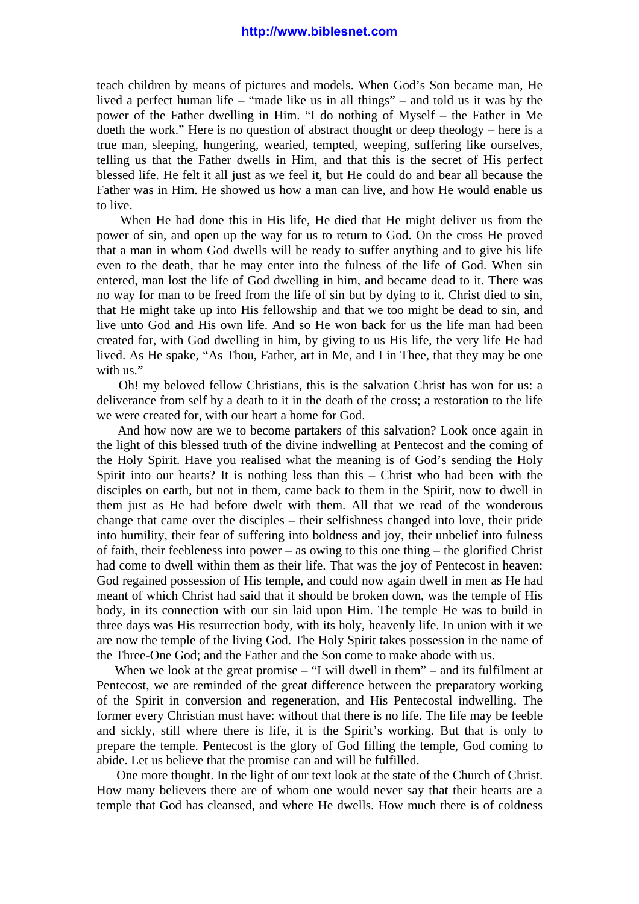teach children by means of pictures and models. When God's Son became man, He lived a perfect human life – "made like us in all things" – and told us it was by the power of the Father dwelling in Him. "I do nothing of Myself – the Father in Me doeth the work." Here is no question of abstract thought or deep theology – here is a true man, sleeping, hungering, wearied, tempted, weeping, suffering like ourselves, telling us that the Father dwells in Him, and that this is the secret of His perfect blessed life. He felt it all just as we feel it, but He could do and bear all because the Father was in Him. He showed us how a man can live, and how He would enable us to live.

 When He had done this in His life, He died that He might deliver us from the power of sin, and open up the way for us to return to God. On the cross He proved that a man in whom God dwells will be ready to suffer anything and to give his life even to the death, that he may enter into the fulness of the life of God. When sin entered, man lost the life of God dwelling in him, and became dead to it. There was no way for man to be freed from the life of sin but by dying to it. Christ died to sin, that He might take up into His fellowship and that we too might be dead to sin, and live unto God and His own life. And so He won back for us the life man had been created for, with God dwelling in him, by giving to us His life, the very life He had lived. As He spake, "As Thou, Father, art in Me, and I in Thee, that they may be one with us."

 Oh! my beloved fellow Christians, this is the salvation Christ has won for us: a deliverance from self by a death to it in the death of the cross; a restoration to the life we were created for, with our heart a home for God.

 And how now are we to become partakers of this salvation? Look once again in the light of this blessed truth of the divine indwelling at Pentecost and the coming of the Holy Spirit. Have you realised what the meaning is of God's sending the Holy Spirit into our hearts? It is nothing less than this – Christ who had been with the disciples on earth, but not in them, came back to them in the Spirit, now to dwell in them just as He had before dwelt with them. All that we read of the wonderous change that came over the disciples – their selfishness changed into love, their pride into humility, their fear of suffering into boldness and joy, their unbelief into fulness of faith, their feebleness into power – as owing to this one thing – the glorified Christ had come to dwell within them as their life. That was the joy of Pentecost in heaven: God regained possession of His temple, and could now again dwell in men as He had meant of which Christ had said that it should be broken down, was the temple of His body, in its connection with our sin laid upon Him. The temple He was to build in three days was His resurrection body, with its holy, heavenly life. In union with it we are now the temple of the living God. The Holy Spirit takes possession in the name of the Three-One God; and the Father and the Son come to make abode with us.

When we look at the great promise – "I will dwell in them" – and its fulfilment at Pentecost, we are reminded of the great difference between the preparatory working of the Spirit in conversion and regeneration, and His Pentecostal indwelling. The former every Christian must have: without that there is no life. The life may be feeble and sickly, still where there is life, it is the Spirit's working. But that is only to prepare the temple. Pentecost is the glory of God filling the temple, God coming to abide. Let us believe that the promise can and will be fulfilled.

 One more thought. In the light of our text look at the state of the Church of Christ. How many believers there are of whom one would never say that their hearts are a temple that God has cleansed, and where He dwells. How much there is of coldness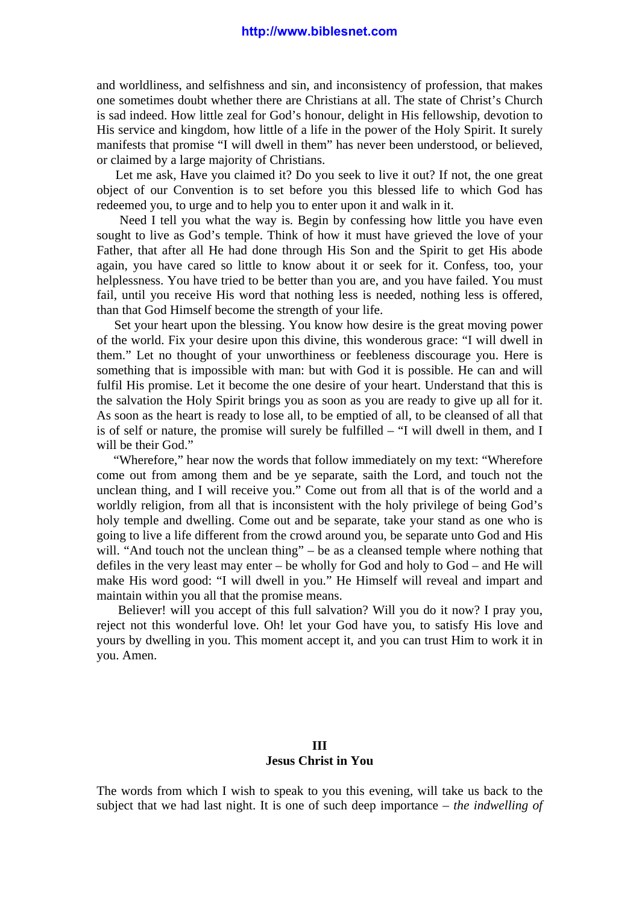and worldliness, and selfishness and sin, and inconsistency of profession, that makes one sometimes doubt whether there are Christians at all. The state of Christ's Church is sad indeed. How little zeal for God's honour, delight in His fellowship, devotion to His service and kingdom, how little of a life in the power of the Holy Spirit. It surely manifests that promise "I will dwell in them" has never been understood, or believed, or claimed by a large majority of Christians.

 Let me ask, Have you claimed it? Do you seek to live it out? If not, the one great object of our Convention is to set before you this blessed life to which God has redeemed you, to urge and to help you to enter upon it and walk in it.

 Need I tell you what the way is. Begin by confessing how little you have even sought to live as God's temple. Think of how it must have grieved the love of your Father, that after all He had done through His Son and the Spirit to get His abode again, you have cared so little to know about it or seek for it. Confess, too, your helplessness. You have tried to be better than you are, and you have failed. You must fail, until you receive His word that nothing less is needed, nothing less is offered, than that God Himself become the strength of your life.

 Set your heart upon the blessing. You know how desire is the great moving power of the world. Fix your desire upon this divine, this wonderous grace: "I will dwell in them." Let no thought of your unworthiness or feebleness discourage you. Here is something that is impossible with man: but with God it is possible. He can and will fulfil His promise. Let it become the one desire of your heart. Understand that this is the salvation the Holy Spirit brings you as soon as you are ready to give up all for it. As soon as the heart is ready to lose all, to be emptied of all, to be cleansed of all that is of self or nature, the promise will surely be fulfilled – "I will dwell in them, and I will be their God."

 "Wherefore," hear now the words that follow immediately on my text: "Wherefore come out from among them and be ye separate, saith the Lord, and touch not the unclean thing, and I will receive you." Come out from all that is of the world and a worldly religion, from all that is inconsistent with the holy privilege of being God's holy temple and dwelling. Come out and be separate, take your stand as one who is going to live a life different from the crowd around you, be separate unto God and His will. "And touch not the unclean thing" – be as a cleansed temple where nothing that defiles in the very least may enter – be wholly for God and holy to God – and He will make His word good: "I will dwell in you." He Himself will reveal and impart and maintain within you all that the promise means.

 Believer! will you accept of this full salvation? Will you do it now? I pray you, reject not this wonderful love. Oh! let your God have you, to satisfy His love and yours by dwelling in you. This moment accept it, and you can trust Him to work it in you. Amen.

## **III Jesus Christ in You**

The words from which I wish to speak to you this evening, will take us back to the subject that we had last night. It is one of such deep importance – *the indwelling of*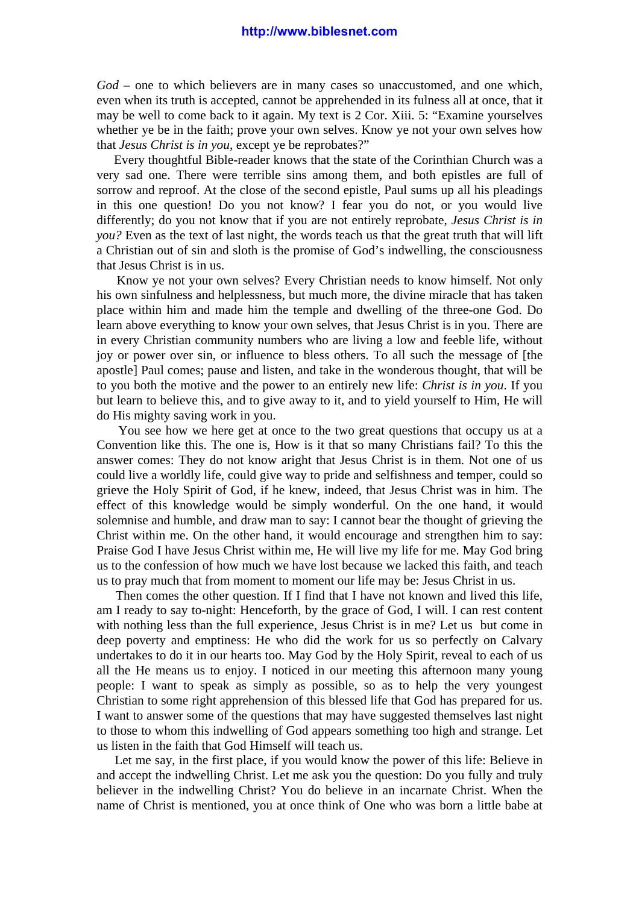*God* – one to which believers are in many cases so unaccustomed, and one which, even when its truth is accepted, cannot be apprehended in its fulness all at once, that it may be well to come back to it again. My text is 2 Cor. Xiii. 5: "Examine yourselves whether ye be in the faith; prove your own selves. Know ye not your own selves how that *Jesus Christ is in you*, except ye be reprobates?"

 Every thoughtful Bible-reader knows that the state of the Corinthian Church was a very sad one. There were terrible sins among them, and both epistles are full of sorrow and reproof. At the close of the second epistle, Paul sums up all his pleadings in this one question! Do you not know? I fear you do not, or you would live differently; do you not know that if you are not entirely reprobate, *Jesus Christ is in you?* Even as the text of last night, the words teach us that the great truth that will lift a Christian out of sin and sloth is the promise of God's indwelling, the consciousness that Jesus Christ is in us.

 Know ye not your own selves? Every Christian needs to know himself. Not only his own sinfulness and helplessness, but much more, the divine miracle that has taken place within him and made him the temple and dwelling of the three-one God. Do learn above everything to know your own selves, that Jesus Christ is in you. There are in every Christian community numbers who are living a low and feeble life, without joy or power over sin, or influence to bless others. To all such the message of [the apostle] Paul comes; pause and listen, and take in the wonderous thought, that will be to you both the motive and the power to an entirely new life: *Christ is in you*. If you but learn to believe this, and to give away to it, and to yield yourself to Him, He will do His mighty saving work in you.

 You see how we here get at once to the two great questions that occupy us at a Convention like this. The one is, How is it that so many Christians fail? To this the answer comes: They do not know aright that Jesus Christ is in them. Not one of us could live a worldly life, could give way to pride and selfishness and temper, could so grieve the Holy Spirit of God, if he knew, indeed, that Jesus Christ was in him. The effect of this knowledge would be simply wonderful. On the one hand, it would solemnise and humble, and draw man to say: I cannot bear the thought of grieving the Christ within me. On the other hand, it would encourage and strengthen him to say: Praise God I have Jesus Christ within me, He will live my life for me. May God bring us to the confession of how much we have lost because we lacked this faith, and teach us to pray much that from moment to moment our life may be: Jesus Christ in us.

 Then comes the other question. If I find that I have not known and lived this life, am I ready to say to-night: Henceforth, by the grace of God, I will. I can rest content with nothing less than the full experience, Jesus Christ is in me? Let us but come in deep poverty and emptiness: He who did the work for us so perfectly on Calvary undertakes to do it in our hearts too. May God by the Holy Spirit, reveal to each of us all the He means us to enjoy. I noticed in our meeting this afternoon many young people: I want to speak as simply as possible, so as to help the very youngest Christian to some right apprehension of this blessed life that God has prepared for us. I want to answer some of the questions that may have suggested themselves last night to those to whom this indwelling of God appears something too high and strange. Let us listen in the faith that God Himself will teach us.

 Let me say, in the first place, if you would know the power of this life: Believe in and accept the indwelling Christ. Let me ask you the question: Do you fully and truly believer in the indwelling Christ? You do believe in an incarnate Christ. When the name of Christ is mentioned, you at once think of One who was born a little babe at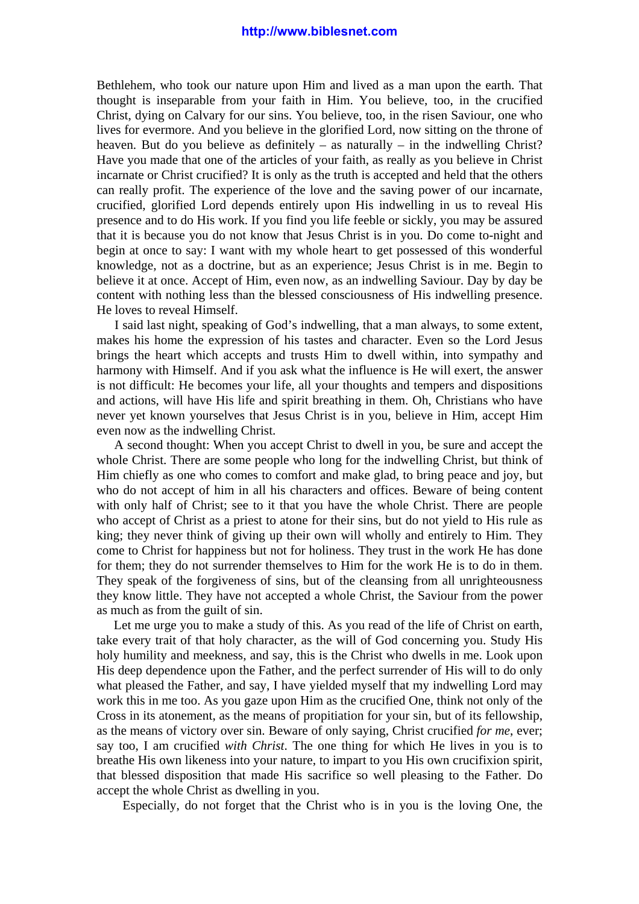Bethlehem, who took our nature upon Him and lived as a man upon the earth. That thought is inseparable from your faith in Him. You believe, too, in the crucified Christ, dying on Calvary for our sins. You believe, too, in the risen Saviour, one who lives for evermore. And you believe in the glorified Lord, now sitting on the throne of heaven. But do you believe as definitely – as naturally – in the indwelling Christ? Have you made that one of the articles of your faith, as really as you believe in Christ incarnate or Christ crucified? It is only as the truth is accepted and held that the others can really profit. The experience of the love and the saving power of our incarnate, crucified, glorified Lord depends entirely upon His indwelling in us to reveal His presence and to do His work. If you find you life feeble or sickly, you may be assured that it is because you do not know that Jesus Christ is in you. Do come to-night and begin at once to say: I want with my whole heart to get possessed of this wonderful knowledge, not as a doctrine, but as an experience; Jesus Christ is in me. Begin to believe it at once. Accept of Him, even now, as an indwelling Saviour. Day by day be content with nothing less than the blessed consciousness of His indwelling presence. He loves to reveal Himself.

 I said last night, speaking of God's indwelling, that a man always, to some extent, makes his home the expression of his tastes and character. Even so the Lord Jesus brings the heart which accepts and trusts Him to dwell within, into sympathy and harmony with Himself. And if you ask what the influence is He will exert, the answer is not difficult: He becomes your life, all your thoughts and tempers and dispositions and actions, will have His life and spirit breathing in them. Oh, Christians who have never yet known yourselves that Jesus Christ is in you, believe in Him, accept Him even now as the indwelling Christ.

 A second thought: When you accept Christ to dwell in you, be sure and accept the whole Christ. There are some people who long for the indwelling Christ, but think of Him chiefly as one who comes to comfort and make glad, to bring peace and joy, but who do not accept of him in all his characters and offices. Beware of being content with only half of Christ; see to it that you have the whole Christ. There are people who accept of Christ as a priest to atone for their sins, but do not yield to His rule as king; they never think of giving up their own will wholly and entirely to Him. They come to Christ for happiness but not for holiness. They trust in the work He has done for them; they do not surrender themselves to Him for the work He is to do in them. They speak of the forgiveness of sins, but of the cleansing from all unrighteousness they know little. They have not accepted a whole Christ, the Saviour from the power as much as from the guilt of sin.

 Let me urge you to make a study of this. As you read of the life of Christ on earth, take every trait of that holy character, as the will of God concerning you. Study His holy humility and meekness, and say, this is the Christ who dwells in me. Look upon His deep dependence upon the Father, and the perfect surrender of His will to do only what pleased the Father, and say, I have yielded myself that my indwelling Lord may work this in me too. As you gaze upon Him as the crucified One, think not only of the Cross in its atonement, as the means of propitiation for your sin, but of its fellowship, as the means of victory over sin. Beware of only saying, Christ crucified *for me*, ever; say too, I am crucified *with Christ*. The one thing for which He lives in you is to breathe His own likeness into your nature, to impart to you His own crucifixion spirit, that blessed disposition that made His sacrifice so well pleasing to the Father. Do accept the whole Christ as dwelling in you.

Especially, do not forget that the Christ who is in you is the loving One, the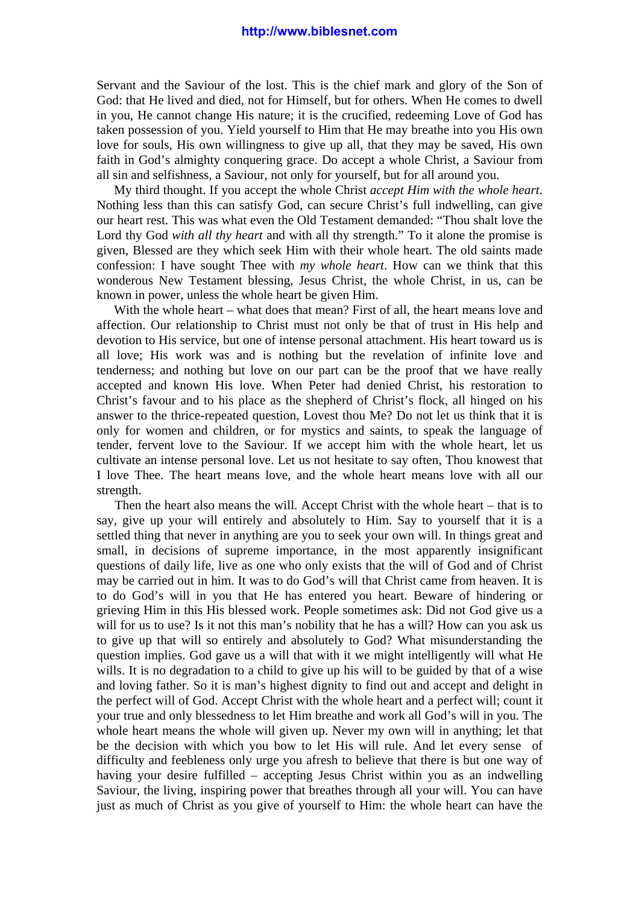Servant and the Saviour of the lost. This is the chief mark and glory of the Son of God: that He lived and died, not for Himself, but for others. When He comes to dwell in you, He cannot change His nature; it is the crucified, redeeming Love of God has taken possession of you. Yield yourself to Him that He may breathe into you His own love for souls, His own willingness to give up all, that they may be saved, His own faith in God's almighty conquering grace. Do accept a whole Christ, a Saviour from all sin and selfishness, a Saviour, not only for yourself, but for all around you.

 My third thought. If you accept the whole Christ *accept Him with the whole heart*. Nothing less than this can satisfy God, can secure Christ's full indwelling, can give our heart rest. This was what even the Old Testament demanded: "Thou shalt love the Lord thy God *with all thy heart* and with all thy strength." To it alone the promise is given, Blessed are they which seek Him with their whole heart. The old saints made confession: I have sought Thee with *my whole heart*. How can we think that this wonderous New Testament blessing, Jesus Christ, the whole Christ, in us, can be known in power, unless the whole heart be given Him.

With the whole heart – what does that mean? First of all, the heart means love and affection. Our relationship to Christ must not only be that of trust in His help and devotion to His service, but one of intense personal attachment. His heart toward us is all love; His work was and is nothing but the revelation of infinite love and tenderness; and nothing but love on our part can be the proof that we have really accepted and known His love. When Peter had denied Christ, his restoration to Christ's favour and to his place as the shepherd of Christ's flock, all hinged on his answer to the thrice-repeated question, Lovest thou Me? Do not let us think that it is only for women and children, or for mystics and saints, to speak the language of tender, fervent love to the Saviour. If we accept him with the whole heart, let us cultivate an intense personal love. Let us not hesitate to say often, Thou knowest that I love Thee. The heart means love, and the whole heart means love with all our strength.

 Then the heart also means the will. Accept Christ with the whole heart – that is to say, give up your will entirely and absolutely to Him. Say to yourself that it is a settled thing that never in anything are you to seek your own will. In things great and small, in decisions of supreme importance, in the most apparently insignificant questions of daily life, live as one who only exists that the will of God and of Christ may be carried out in him. It was to do God's will that Christ came from heaven. It is to do God's will in you that He has entered you heart. Beware of hindering or grieving Him in this His blessed work. People sometimes ask: Did not God give us a will for us to use? Is it not this man's nobility that he has a will? How can you ask us to give up that will so entirely and absolutely to God? What misunderstanding the question implies. God gave us a will that with it we might intelligently will what He wills. It is no degradation to a child to give up his will to be guided by that of a wise and loving father. So it is man's highest dignity to find out and accept and delight in the perfect will of God. Accept Christ with the whole heart and a perfect will; count it your true and only blessedness to let Him breathe and work all God's will in you. The whole heart means the whole will given up. Never my own will in anything; let that be the decision with which you bow to let His will rule. And let every sense of difficulty and feebleness only urge you afresh to believe that there is but one way of having your desire fulfilled – accepting Jesus Christ within you as an indwelling Saviour, the living, inspiring power that breathes through all your will. You can have just as much of Christ as you give of yourself to Him: the whole heart can have the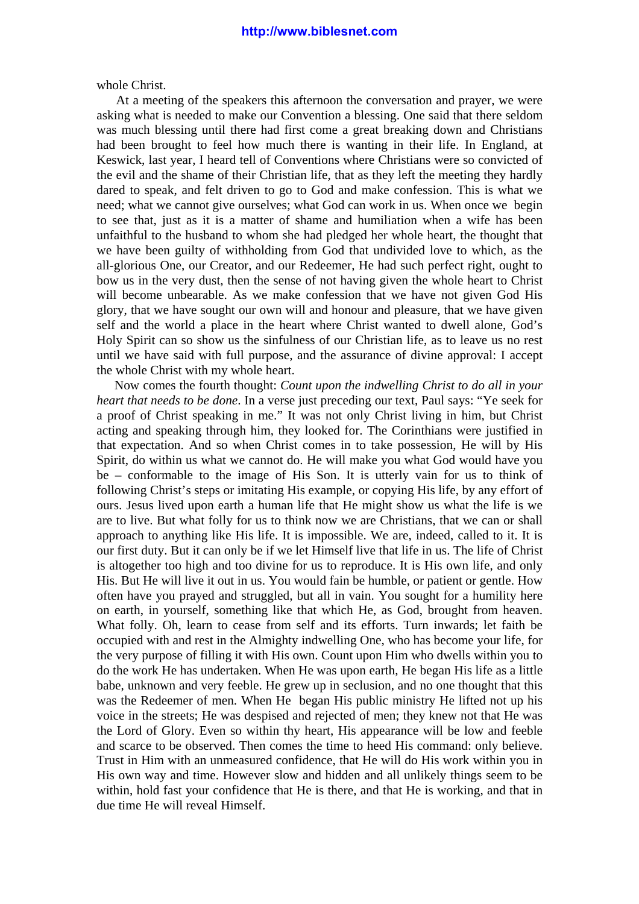whole Christ.

 At a meeting of the speakers this afternoon the conversation and prayer, we were asking what is needed to make our Convention a blessing. One said that there seldom was much blessing until there had first come a great breaking down and Christians had been brought to feel how much there is wanting in their life. In England, at Keswick, last year, I heard tell of Conventions where Christians were so convicted of the evil and the shame of their Christian life, that as they left the meeting they hardly dared to speak, and felt driven to go to God and make confession. This is what we need; what we cannot give ourselves; what God can work in us. When once we begin to see that, just as it is a matter of shame and humiliation when a wife has been unfaithful to the husband to whom she had pledged her whole heart, the thought that we have been guilty of withholding from God that undivided love to which, as the all-glorious One, our Creator, and our Redeemer, He had such perfect right, ought to bow us in the very dust, then the sense of not having given the whole heart to Christ will become unbearable. As we make confession that we have not given God His glory, that we have sought our own will and honour and pleasure, that we have given self and the world a place in the heart where Christ wanted to dwell alone, God's Holy Spirit can so show us the sinfulness of our Christian life, as to leave us no rest until we have said with full purpose, and the assurance of divine approval: I accept the whole Christ with my whole heart.

 Now comes the fourth thought: *Count upon the indwelling Christ to do all in your heart that needs to be done*. In a verse just preceding our text, Paul says: "Ye seek for a proof of Christ speaking in me." It was not only Christ living in him, but Christ acting and speaking through him, they looked for. The Corinthians were justified in that expectation. And so when Christ comes in to take possession, He will by His Spirit, do within us what we cannot do. He will make you what God would have you be – conformable to the image of His Son. It is utterly vain for us to think of following Christ's steps or imitating His example, or copying His life, by any effort of ours. Jesus lived upon earth a human life that He might show us what the life is we are to live. But what folly for us to think now we are Christians, that we can or shall approach to anything like His life. It is impossible. We are, indeed, called to it. It is our first duty. But it can only be if we let Himself live that life in us. The life of Christ is altogether too high and too divine for us to reproduce. It is His own life, and only His. But He will live it out in us. You would fain be humble, or patient or gentle. How often have you prayed and struggled, but all in vain. You sought for a humility here on earth, in yourself, something like that which He, as God, brought from heaven. What folly. Oh, learn to cease from self and its efforts. Turn inwards; let faith be occupied with and rest in the Almighty indwelling One, who has become your life, for the very purpose of filling it with His own. Count upon Him who dwells within you to do the work He has undertaken. When He was upon earth, He began His life as a little babe, unknown and very feeble. He grew up in seclusion, and no one thought that this was the Redeemer of men. When He began His public ministry He lifted not up his voice in the streets; He was despised and rejected of men; they knew not that He was the Lord of Glory. Even so within thy heart, His appearance will be low and feeble and scarce to be observed. Then comes the time to heed His command: only believe. Trust in Him with an unmeasured confidence, that He will do His work within you in His own way and time. However slow and hidden and all unlikely things seem to be within, hold fast your confidence that He is there, and that He is working, and that in due time He will reveal Himself.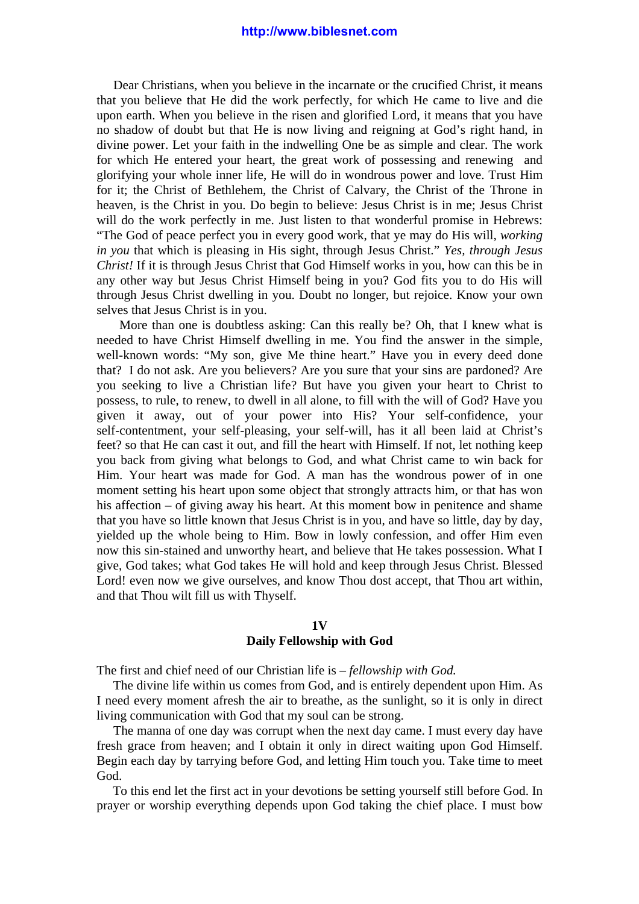Dear Christians, when you believe in the incarnate or the crucified Christ, it means that you believe that He did the work perfectly, for which He came to live and die upon earth. When you believe in the risen and glorified Lord, it means that you have no shadow of doubt but that He is now living and reigning at God's right hand, in divine power. Let your faith in the indwelling One be as simple and clear. The work for which He entered your heart, the great work of possessing and renewing and glorifying your whole inner life, He will do in wondrous power and love. Trust Him for it; the Christ of Bethlehem, the Christ of Calvary, the Christ of the Throne in heaven, is the Christ in you. Do begin to believe: Jesus Christ is in me; Jesus Christ will do the work perfectly in me. Just listen to that wonderful promise in Hebrews: "The God of peace perfect you in every good work, that ye may do His will, *working in you* that which is pleasing in His sight, through Jesus Christ." *Yes, through Jesus Christ!* If it is through Jesus Christ that God Himself works in you, how can this be in any other way but Jesus Christ Himself being in you? God fits you to do His will through Jesus Christ dwelling in you. Doubt no longer, but rejoice. Know your own selves that Jesus Christ is in you.

 More than one is doubtless asking: Can this really be? Oh, that I knew what is needed to have Christ Himself dwelling in me. You find the answer in the simple, well-known words: "My son, give Me thine heart." Have you in every deed done that? I do not ask. Are you believers? Are you sure that your sins are pardoned? Are you seeking to live a Christian life? But have you given your heart to Christ to possess, to rule, to renew, to dwell in all alone, to fill with the will of God? Have you given it away, out of your power into His? Your self-confidence, your self-contentment, your self-pleasing, your self-will, has it all been laid at Christ's feet? so that He can cast it out, and fill the heart with Himself. If not, let nothing keep you back from giving what belongs to God, and what Christ came to win back for Him. Your heart was made for God. A man has the wondrous power of in one moment setting his heart upon some object that strongly attracts him, or that has won his affection – of giving away his heart. At this moment bow in penitence and shame that you have so little known that Jesus Christ is in you, and have so little, day by day, yielded up the whole being to Him. Bow in lowly confession, and offer Him even now this sin-stained and unworthy heart, and believe that He takes possession. What I give, God takes; what God takes He will hold and keep through Jesus Christ. Blessed Lord! even now we give ourselves, and know Thou dost accept, that Thou art within, and that Thou wilt fill us with Thyself.

#### **1V**

### **Daily Fellowship with God**

The first and chief need of our Christian life is – *fellowship with God.*

 The divine life within us comes from God, and is entirely dependent upon Him. As I need every moment afresh the air to breathe, as the sunlight, so it is only in direct living communication with God that my soul can be strong.

 The manna of one day was corrupt when the next day came. I must every day have fresh grace from heaven; and I obtain it only in direct waiting upon God Himself. Begin each day by tarrying before God, and letting Him touch you. Take time to meet God.

 To this end let the first act in your devotions be setting yourself still before God. In prayer or worship everything depends upon God taking the chief place. I must bow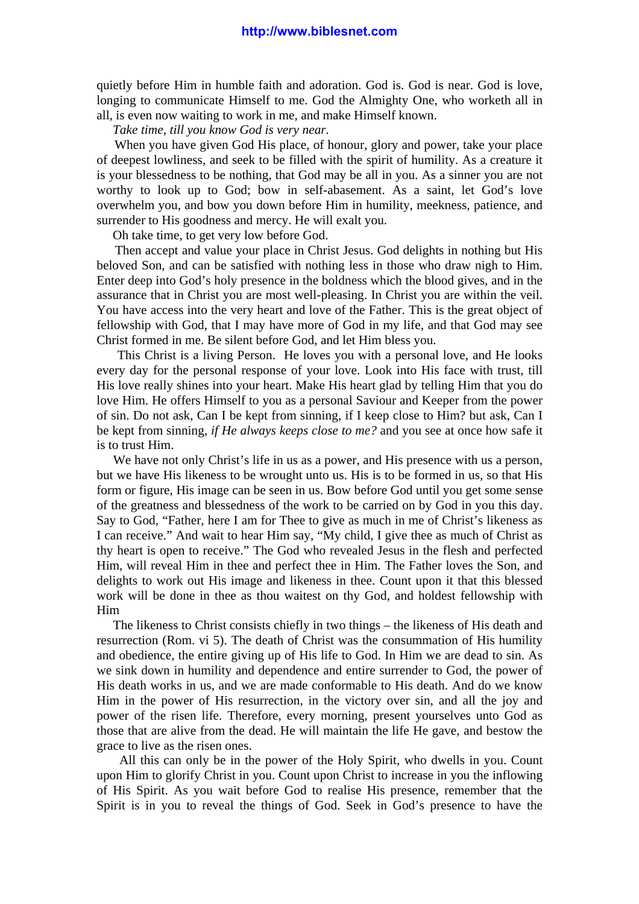quietly before Him in humble faith and adoration. God is. God is near. God is love, longing to communicate Himself to me. God the Almighty One, who worketh all in all, is even now waiting to work in me, and make Himself known.

*Take time, till you know God is very near.*

 When you have given God His place, of honour, glory and power, take your place of deepest lowliness, and seek to be filled with the spirit of humility. As a creature it is your blessedness to be nothing, that God may be all in you. As a sinner you are not worthy to look up to God; bow in self-abasement. As a saint, let God's love overwhelm you, and bow you down before Him in humility, meekness, patience, and surrender to His goodness and mercy. He will exalt you.

Oh take time, to get very low before God.

 Then accept and value your place in Christ Jesus. God delights in nothing but His beloved Son, and can be satisfied with nothing less in those who draw nigh to Him. Enter deep into God's holy presence in the boldness which the blood gives, and in the assurance that in Christ you are most well-pleasing. In Christ you are within the veil. You have access into the very heart and love of the Father. This is the great object of fellowship with God, that I may have more of God in my life, and that God may see Christ formed in me. Be silent before God, and let Him bless you.

 This Christ is a living Person. He loves you with a personal love, and He looks every day for the personal response of your love. Look into His face with trust, till His love really shines into your heart. Make His heart glad by telling Him that you do love Him. He offers Himself to you as a personal Saviour and Keeper from the power of sin. Do not ask, Can I be kept from sinning, if I keep close to Him? but ask, Can I be kept from sinning, *if He always keeps close to me?* and you see at once how safe it is to trust Him.

 We have not only Christ's life in us as a power, and His presence with us a person, but we have His likeness to be wrought unto us. His is to be formed in us, so that His form or figure, His image can be seen in us. Bow before God until you get some sense of the greatness and blessedness of the work to be carried on by God in you this day. Say to God, "Father, here I am for Thee to give as much in me of Christ's likeness as I can receive." And wait to hear Him say, "My child, I give thee as much of Christ as thy heart is open to receive." The God who revealed Jesus in the flesh and perfected Him, will reveal Him in thee and perfect thee in Him. The Father loves the Son, and delights to work out His image and likeness in thee. Count upon it that this blessed work will be done in thee as thou waitest on thy God, and holdest fellowship with Him

 The likeness to Christ consists chiefly in two things – the likeness of His death and resurrection (Rom. vi 5). The death of Christ was the consummation of His humility and obedience, the entire giving up of His life to God. In Him we are dead to sin. As we sink down in humility and dependence and entire surrender to God, the power of His death works in us, and we are made conformable to His death. And do we know Him in the power of His resurrection, in the victory over sin, and all the joy and power of the risen life. Therefore, every morning, present yourselves unto God as those that are alive from the dead. He will maintain the life He gave, and bestow the grace to live as the risen ones.

 All this can only be in the power of the Holy Spirit, who dwells in you. Count upon Him to glorify Christ in you. Count upon Christ to increase in you the inflowing of His Spirit. As you wait before God to realise His presence, remember that the Spirit is in you to reveal the things of God. Seek in God's presence to have the